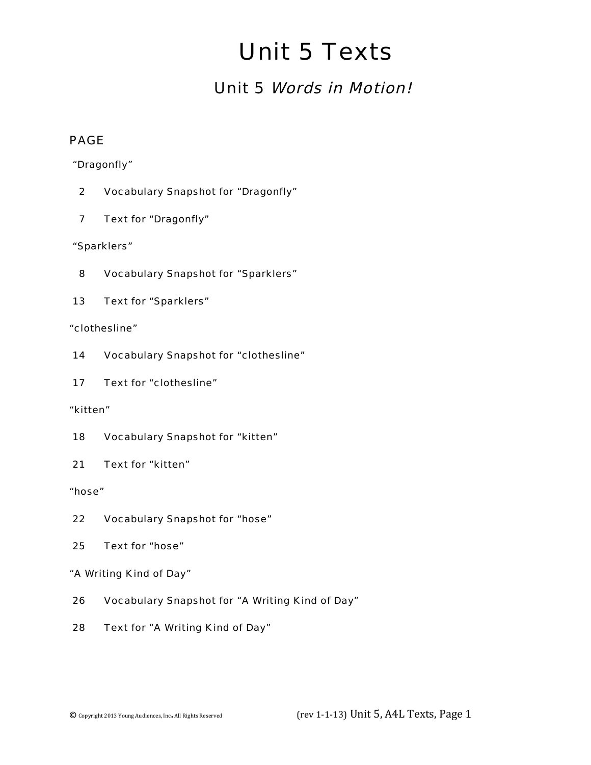# Unit 5 Texts

### Unit 5 Words in Motion!

#### PAGE

"Dragonfly"

- 2 Vocabulary Snapshot for "Dragonfly"
- 7 Text for "Dragonfly"

"Sparklers"

- 8 Vocabulary Snapshot for "Sparklers"
- 13 Text for "Sparklers"

#### "clothesline"

- 14 Vocabulary Snapshot for "clothesline"
- 17 Text for "clothesline"

#### "kitten"

- 18 Vocabulary Snapshot for "kitten"
- 21 Text for "kitten"

"hose"

- 22 Vocabulary Snapshot for "hose"
- 25 Text for "hose"

#### "A Writing Kind of Day"

- 26 Vocabulary Snapshot for "A Writing Kind of Day"
- 28 Text for "A Writing Kind of Day"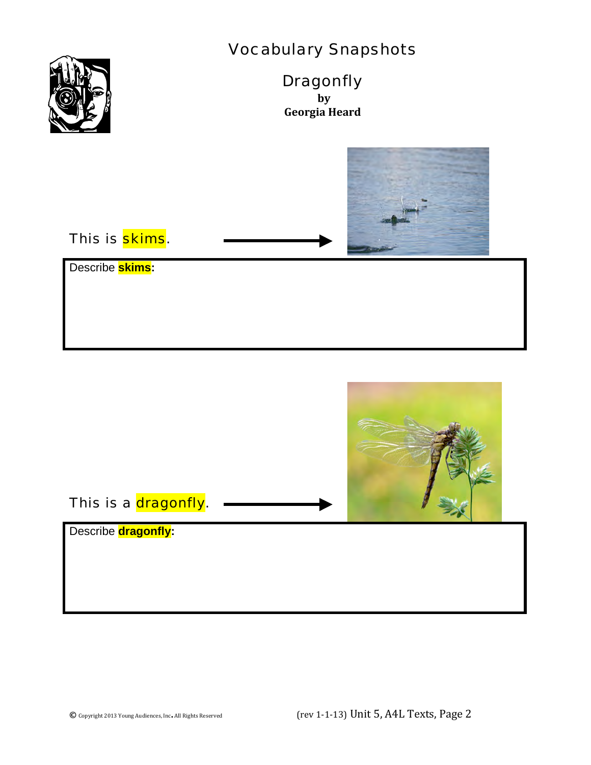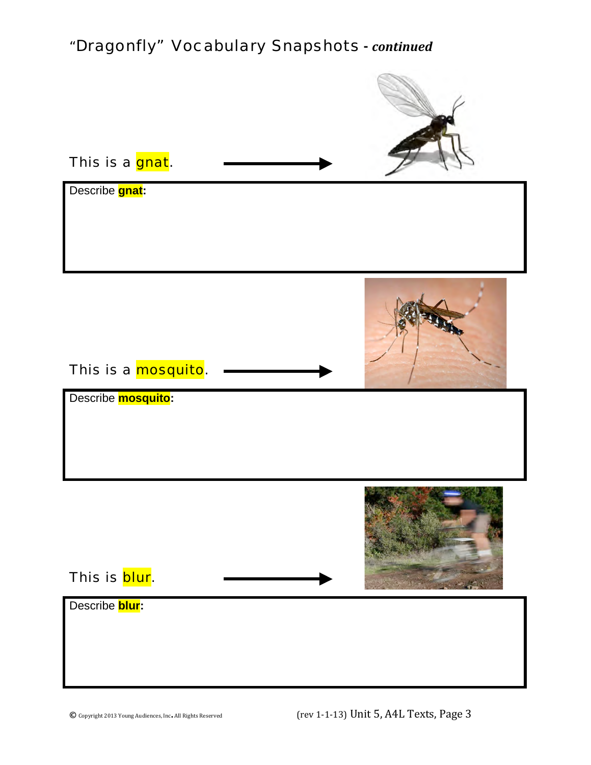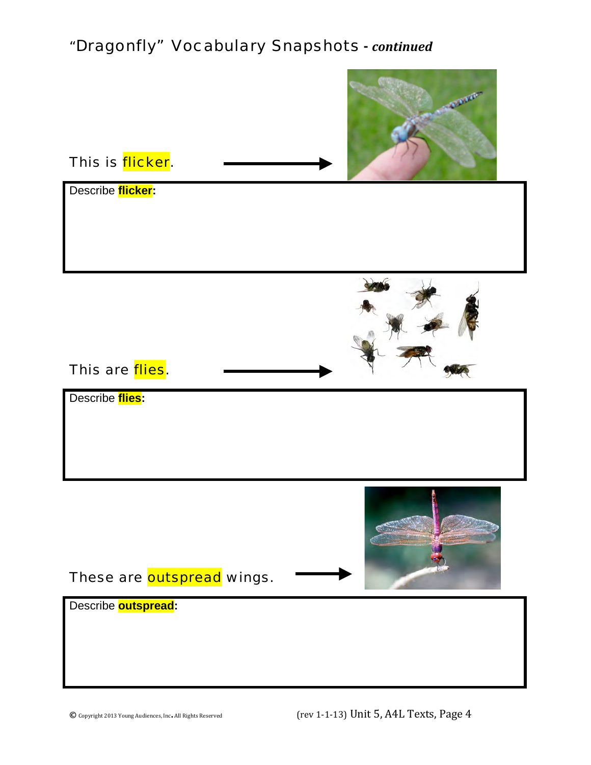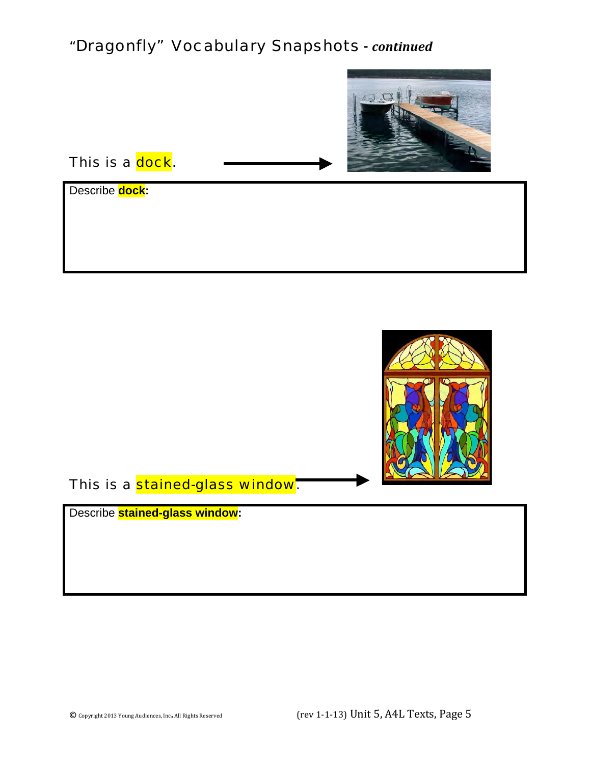

This is a dock.

Describe **dock:**



This is a stained-glass window.

Describe **stained-glass window:**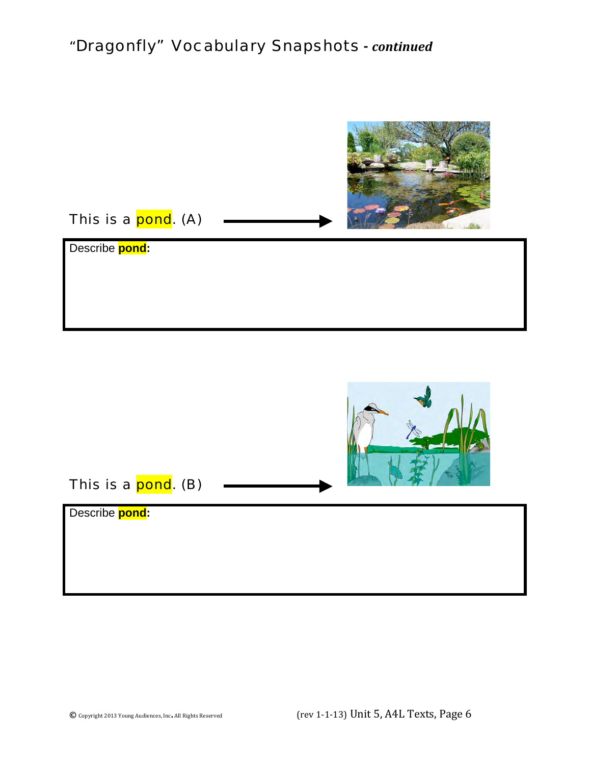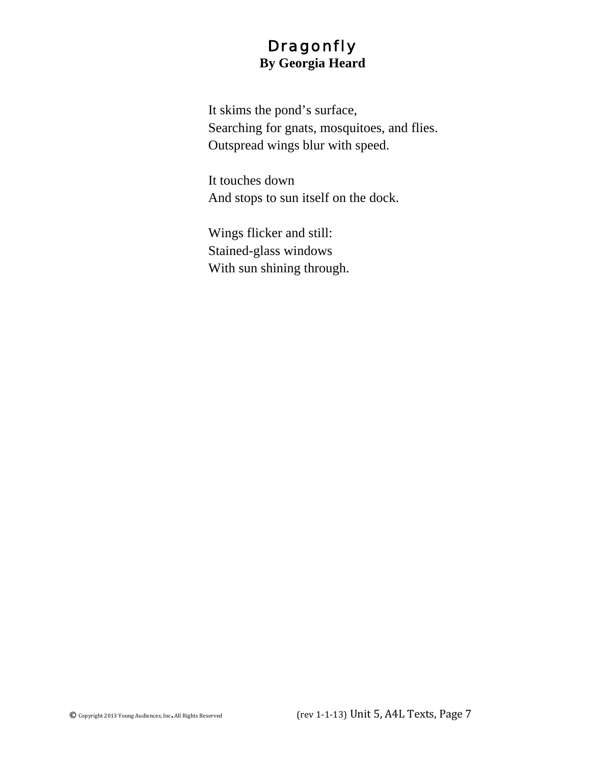#### **Dragonfly By Georgia Heard**

It skims the pond's surface, Searching for gnats, mosquitoes, and flies. Outspread wings blur with speed.

It touches down And stops to sun itself on the dock.

Wings flicker and still: Stained-glass windows With sun shining through.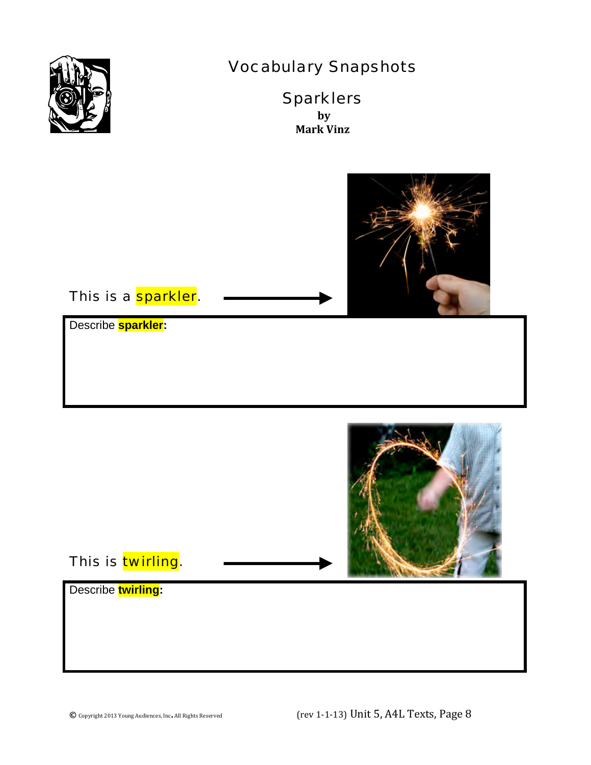

## Vocabulary Snapshots

**Sparklers by Mark Vinz**



#### This is a **sparkler**.

Describe **sparkler:**



#### This is twirling.

Describe **twirling:**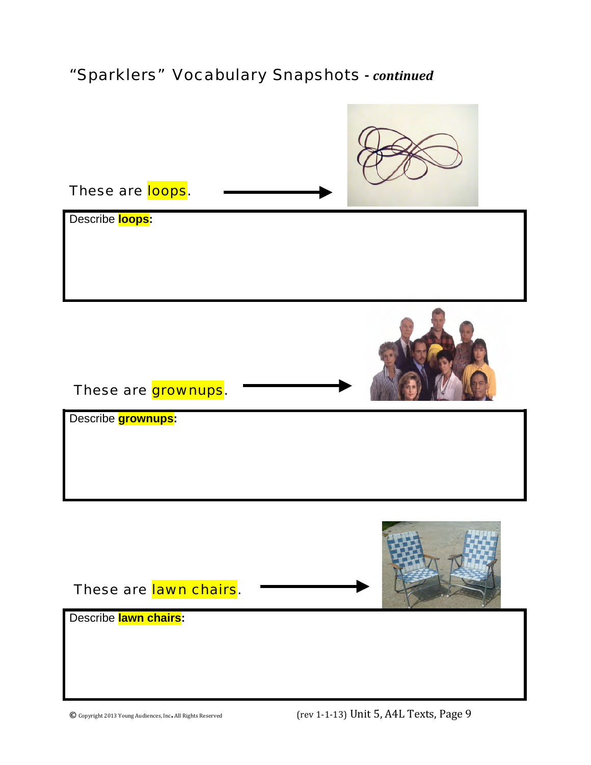### "Sparklers"Vocabulary Snapshots **-** *continued*

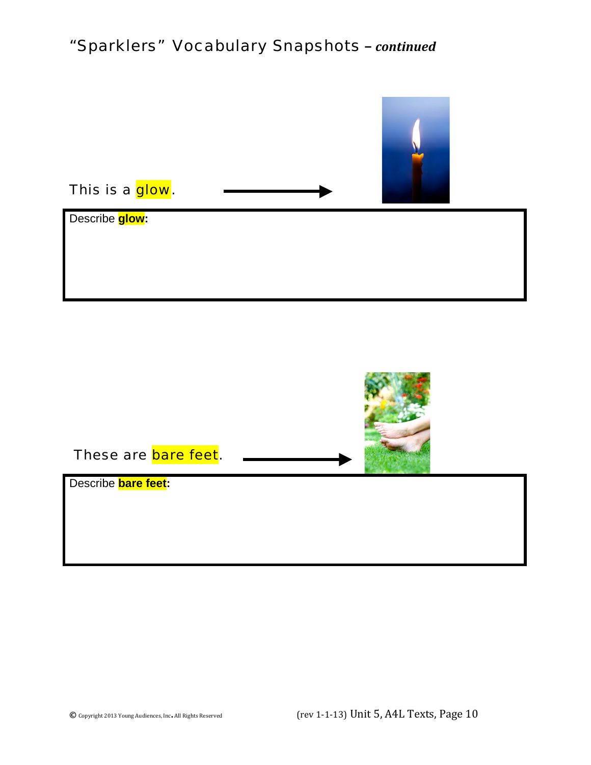## "Sparklers"Vocabulary Snapshots **–** *continued*

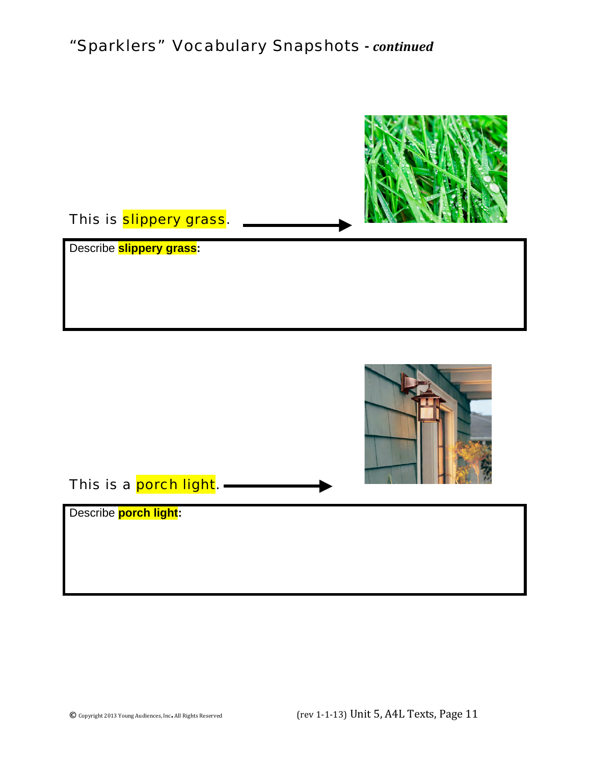### "Sparklers"Vocabulary Snapshots **-** *continued*

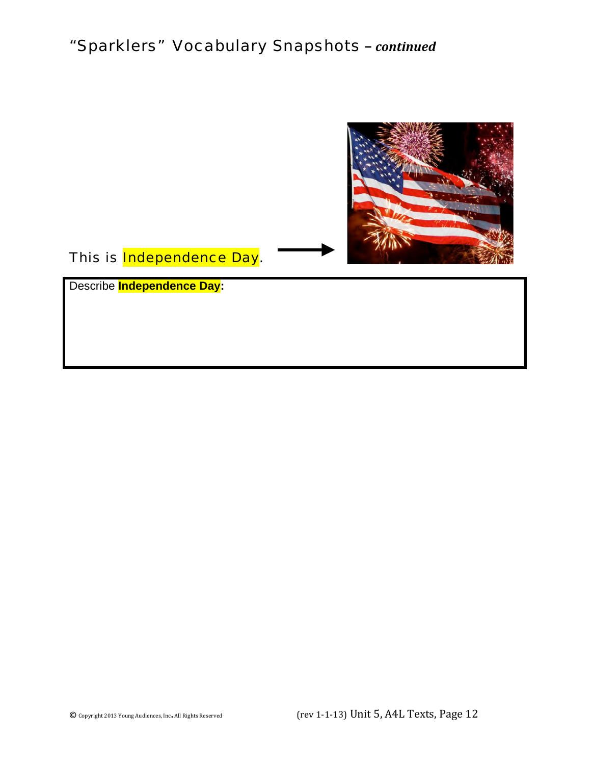## "Sparklers"Vocabulary Snapshots **–** *continued*



This is **Independence Day**.

Describe **Independence Day:**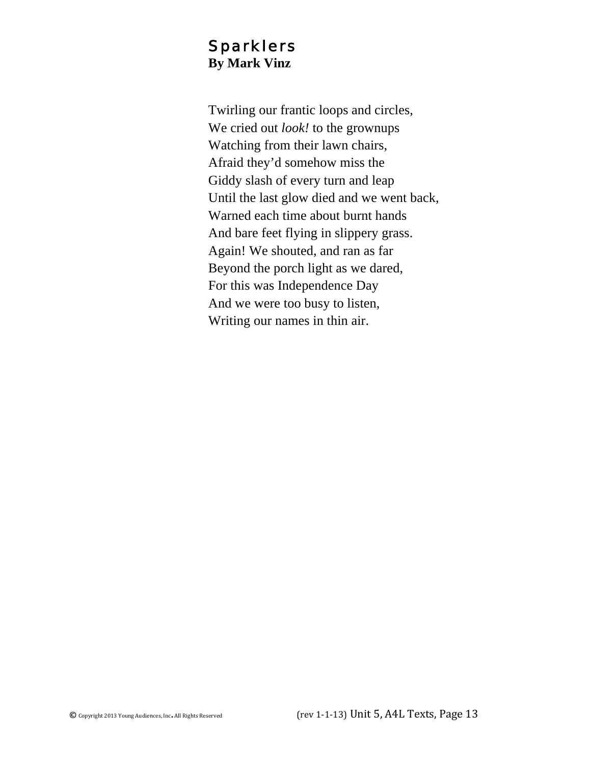#### Sparklers **By Mark Vinz**

Twirling our frantic loops and circles, We cried out *look!* to the grownups Watching from their lawn chairs, Afraid they'd somehow miss the Giddy slash of every turn and leap Until the last glow died and we went back, Warned each time about burnt hands And bare feet flying in slippery grass. Again! We shouted, and ran as far Beyond the porch light as we dared, For this was Independence Day And we were too busy to listen, Writing our names in thin air.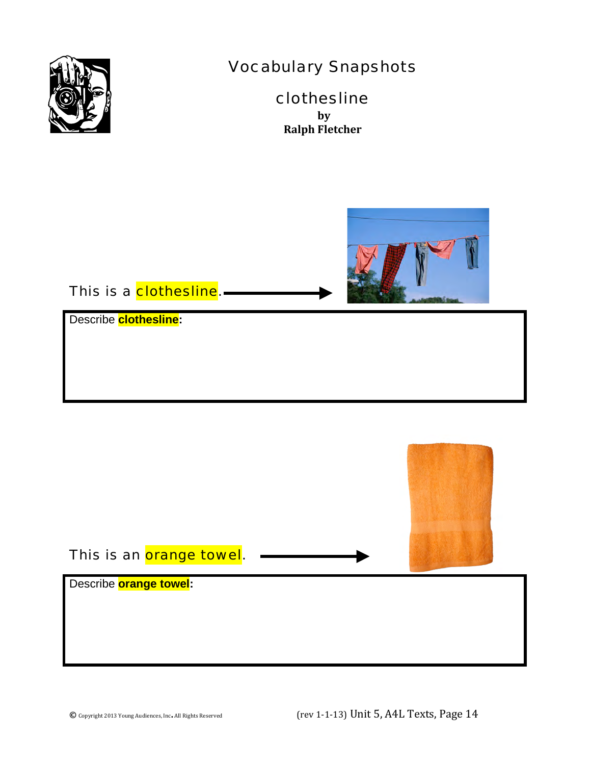

## Vocabulary Snapshots

#### clothesline **by Ralph Fletcher**



#### This is a clothesline.-

Describe **clothesline:**

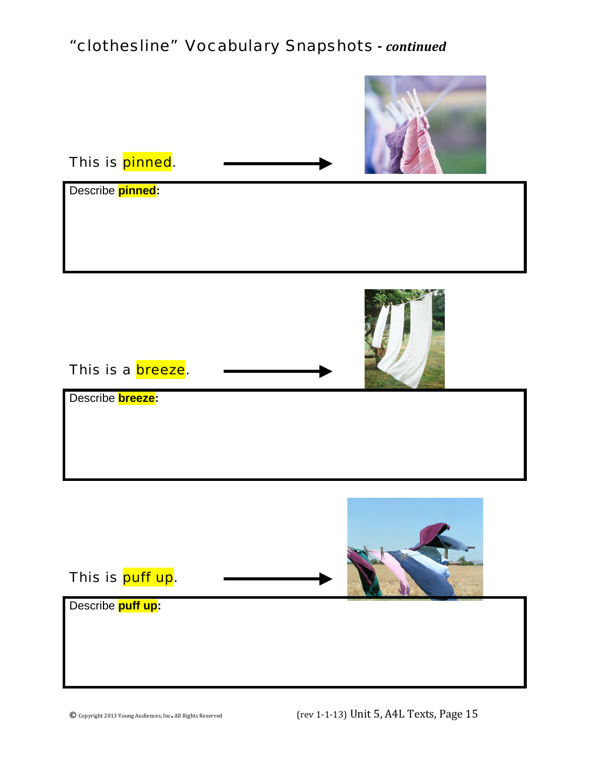## "clothesline" Vocabulary Snapshots **-** *continued*

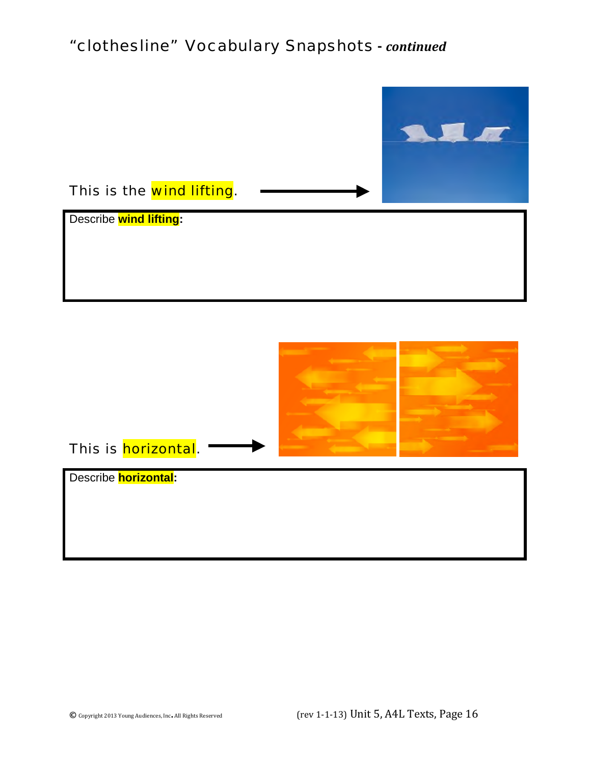### "clothesline" Vocabulary Snapshots **-** *continued*

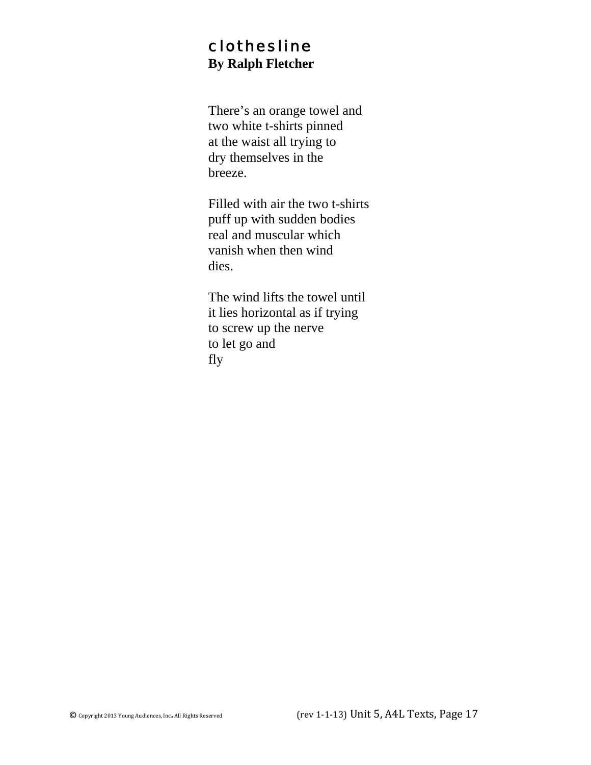#### clothesline **By Ralph Fletcher**

There's an orange towel and two white t-shirts pinned at the waist all trying to dry themselves in the breeze.

Filled with air the two t-shirts puff up with sudden bodies real and muscular which vanish when then wind dies.

The wind lifts the towel until it lies horizontal as if trying to screw up the nerve to let go and fly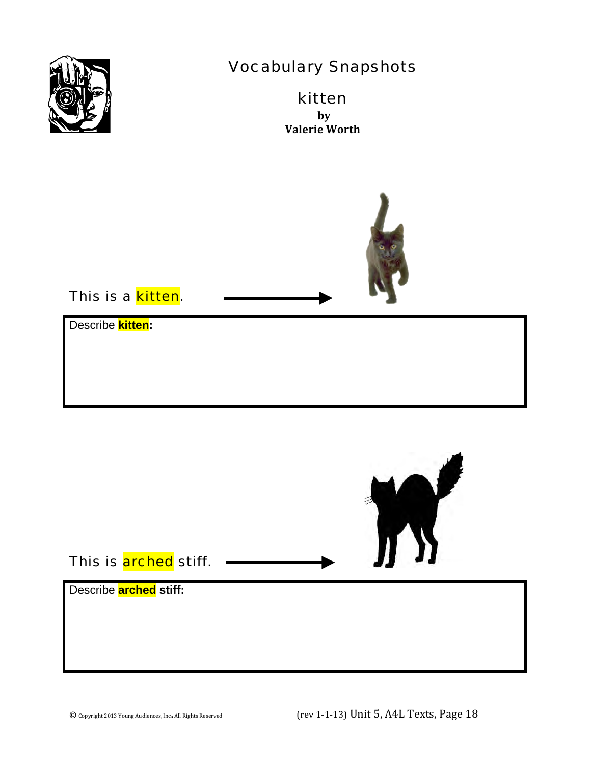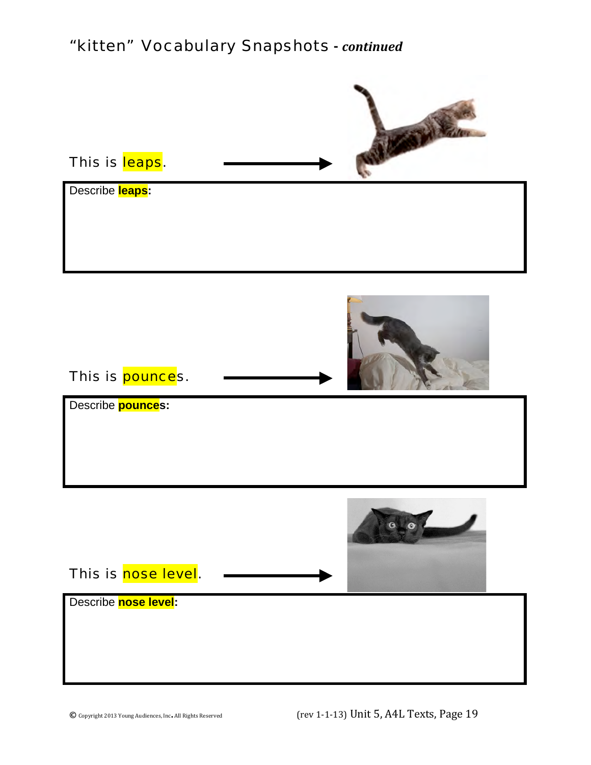### "kitten"Vocabulary Snapshots **-** *continued*

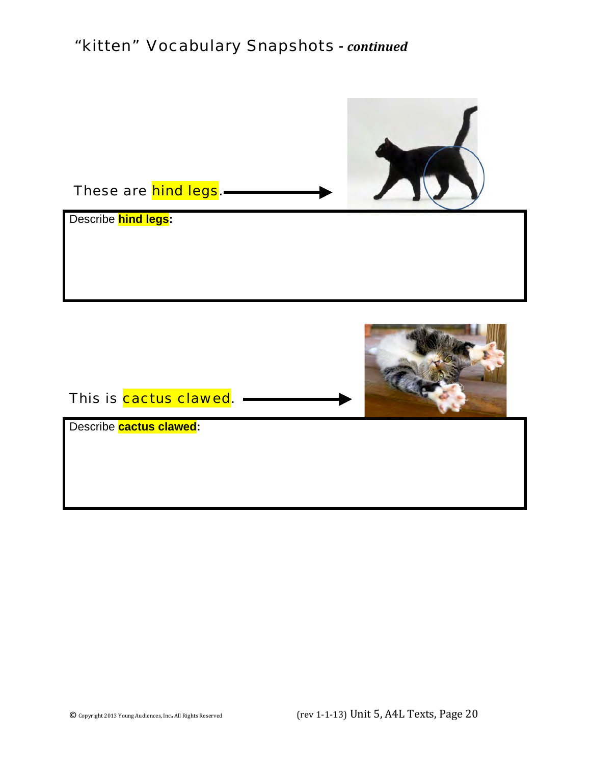### "kitten"Vocabulary Snapshots **-** *continued*

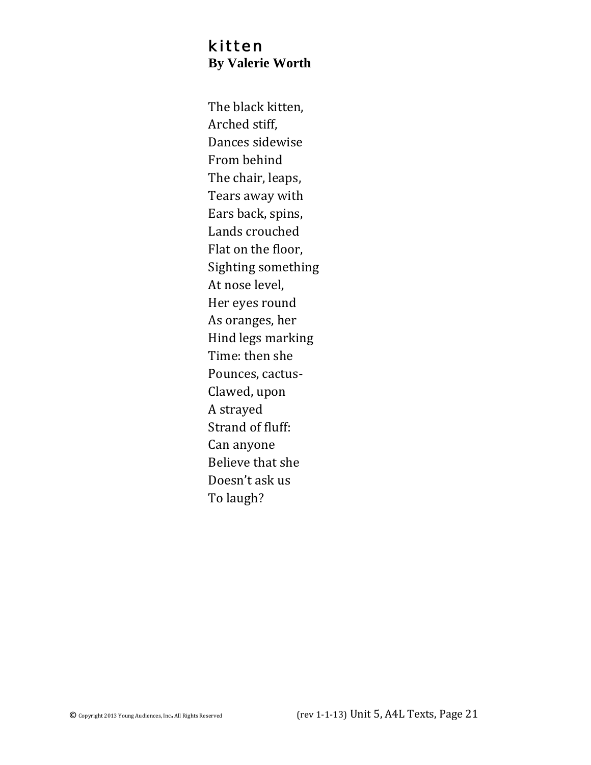#### kitten **By Valerie Worth**

The black kitten, Arched stiff, Dances sidewise From behind The chair, leaps, Tears away with Ears back, spins, Lands crouched Flat on the floor, Sighting something At nose level, Her eyes round As oranges, her Hind legs marking Time: then she Pounces, cactus-Clawed, upon A strayed Strand of fluff: Can anyone Believe that she Doesn't ask us To laugh?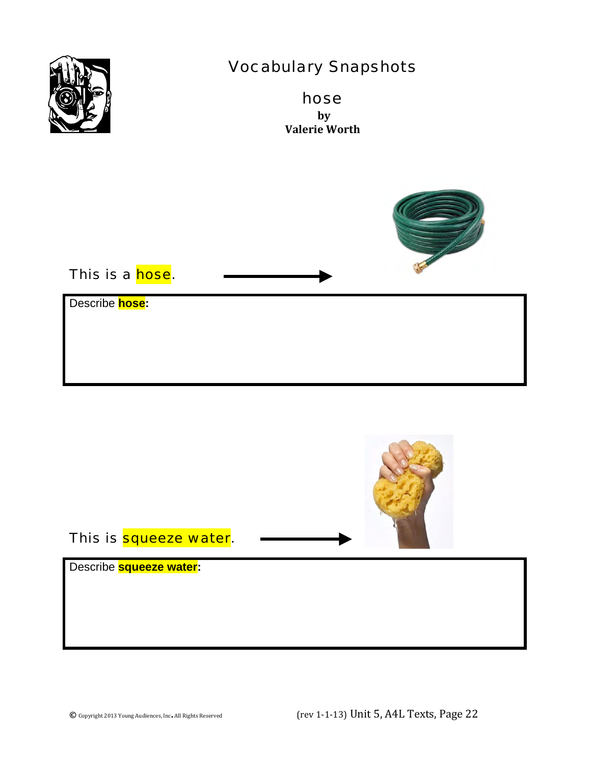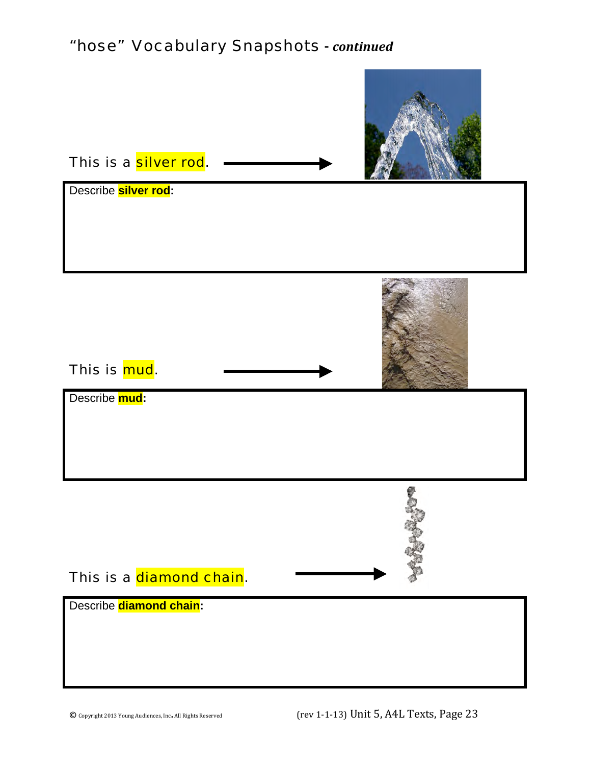### "hose"Vocabulary Snapshots **-** *continued*

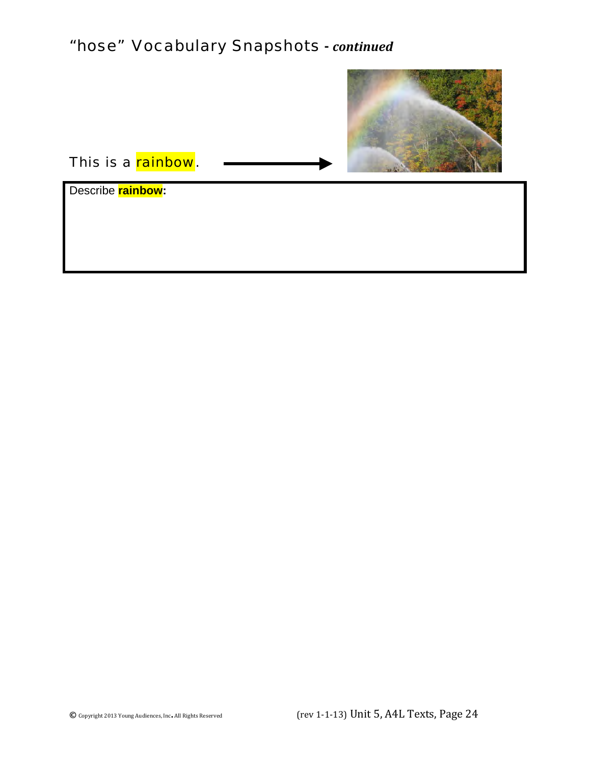## "hose"Vocabulary Snapshots **-** *continued*



This is a rainbow.

Describe **rainbow:**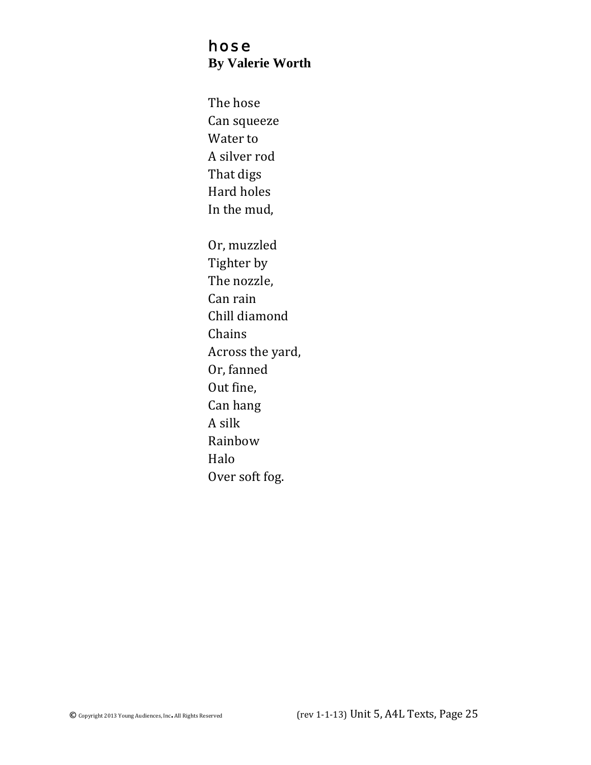#### hose **By Valerie Worth**

The hose Can squeeze Water to A silver rod That digs Hard holes In the mud, Or, muzzled Tighter by The nozzle, Can rain Chill diamond Chains Across the yard, Or, fanned Out fine, Can hang A silk Rainbow Halo Over soft fog.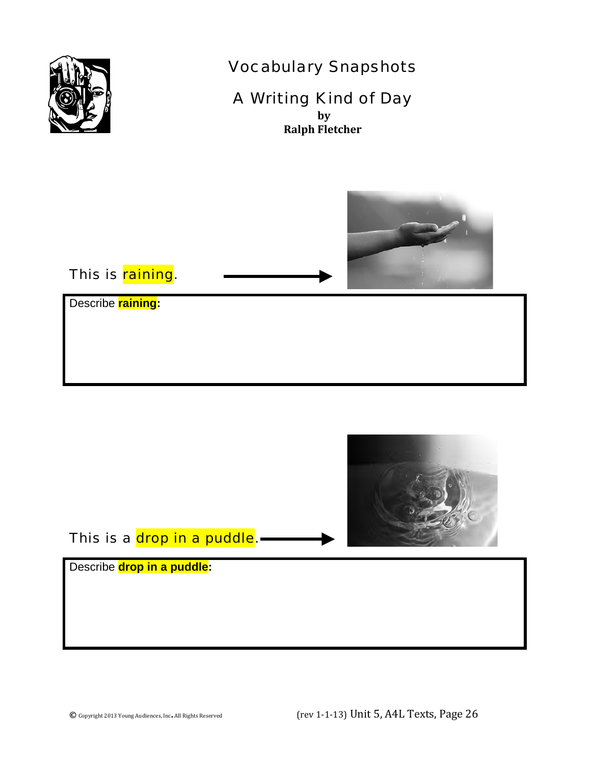

### Vocabulary Snapshots

## A Writing Kind of Day

**by Ralph Fletcher**



### This is raining.

Describe **raining:**



This is a <mark>drop in a puddle</mark>.—

Describe **drop in a puddle:**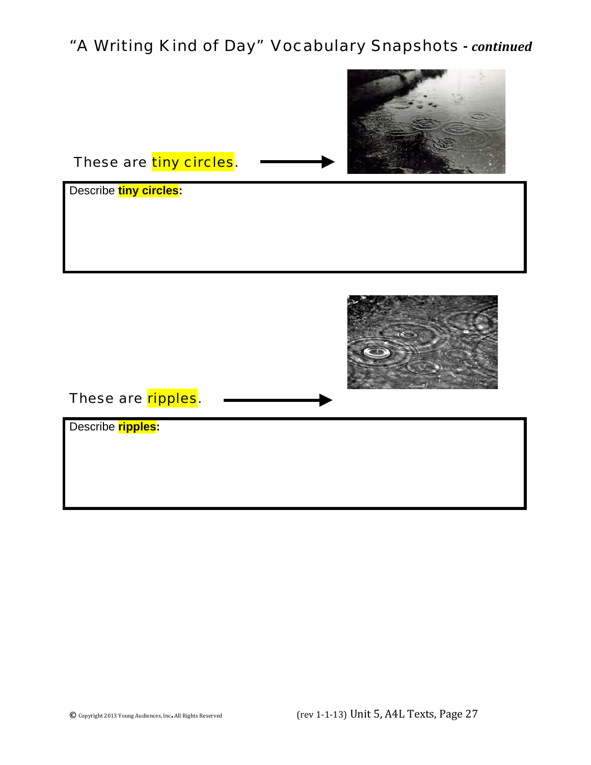## "A Writing Kind of Day"Vocabulary Snapshots **-** *continued*